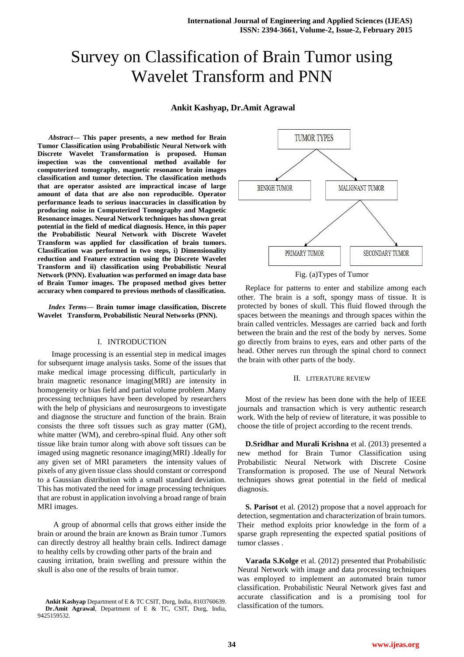# Survey on Classification of Brain Tumor using Wavelet Transform and PNN

# **Ankit Kashyap, Dr.Amit Agrawal**

*Abstract***— This paper presents, a new method for Brain Tumor Classification using Probabilistic Neural Network with Discrete Wavelet Transformation is proposed. Human inspection was the conventional method available for computerized tomography, magnetic resonance brain images classification and tumor detection. The classification methods that are operator assisted are impractical incase of large amount of data that are also non reproducible. Operator performance leads to serious inaccuracies in classification by producing noise in Computerized Tomography and Magnetic Resonance images. Neural Network techniques has shown great potential in the field of medical diagnosis. Hence, in this paper the Probabilistic Neural Network with Discrete Wavelet Transform was applied for classification of brain tumors. Classification was performed in two steps, i) Dimensionality reduction and Feature extraction using the Discrete Wavelet Transform and ii) classification using Probabilistic Neural Network (PNN). Evaluation was performed on image data base of Brain Tumor images. The proposed method gives better accuracy when compared to previous methods of classification.** 

*Index Terms***— Brain tumor image classification, Discrete Wavelet Transform, Probabilistic Neural Networks (PNN).**

## I. INTRODUCTION

Image processing is an essential step in medical images for subsequent image analysis tasks. Some of the issues that make medical image processing difficult, particularly in brain magnetic resonance imaging(MRI) are intensity in homogeneity or bias field and partial volume problem .Many processing techniques have been developed by researchers with the help of physicians and neurosurgeons to investigate and diagnose the structure and function of the brain. Brain consists the three soft tissues such as gray matter (GM), white matter (WM), and cerebro-spinal fluid. Any other soft tissue like brain tumor along with above soft tissues can be imaged using magnetic resonance imaging(MRI) .Ideally for any given set of MRI parameters the intensity values of pixels of any given tissue class should constant or correspond to a Gaussian distribution with a small standard deviation. This has motivated the need for image processing techniques that are robust in application involving a broad range of brain MRI images.

A group of abnormal cells that grows either inside the brain or around the brain are known as Brain tumor .Tumors can directly destroy all healthy brain cells. Indirect damage to healthy cells by crowding other parts of the brain and causing irritation, brain swelling and pressure within the skull is also one of the results of brain tumor.



Fig. (a)Types of Tumor

Replace for patterns to enter and stabilize among each other. The brain is a soft, spongy mass of tissue. It is protected by bones of skull. This fluid flowed through the spaces between the meanings and through spaces within the brain called ventricles. Messages are carried back and forth between the brain and the rest of the body by nerves. Some go directly from brains to eyes, ears and other parts of the head. Other nerves run through the spinal chord to connect the brain with other parts of the body.

### II. LITERATURE REVIEW

Most of the review has been done with the help of IEEE journals and transaction which is very authentic research work. With the help of review of literature, it was possible to choose the title of project according to the recent trends.

**D.Sridhar and Murali Krishna** et al. (2013) presented a new method for Brain Tumor Classification using Probabilistic Neural Network with Discrete Cosine Transformation is proposed. The use of Neural Network techniques shows great potential in the field of medical diagnosis.

**S. Parisot** et al. (2012) propose that a novel approach for detection, segmentation and characterization of brain tumors. Their method exploits prior knowledge in the form of a sparse graph representing the expected spatial positions of tumor classes .

**Varada S.Kolge** et al. (2012) presented that Probabilistic Neural Network with image and data processing techniques was employed to implement an automated brain tumor classification. Probabilistic Neural Network gives fast and accurate classification and is a promising tool for classification of the tumors.

**Ankit Kashyap** Department of E & TC CSIT, Durg, India, 8103760639. **Dr.Amit Agrawal**, Department of E & TC, CSIT, Durg, India, 9425159532.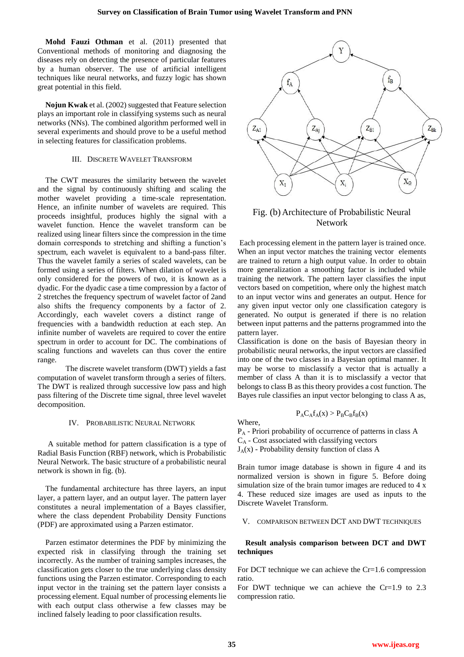**Mohd Fauzi Othman** et al. (2011) presented that Conventional methods of monitoring and diagnosing the diseases rely on detecting the presence of particular features by a human observer. The use of artificial intelligent techniques like neural networks, and fuzzy logic has shown great potential in this field.

**Nojun Kwak** et al. (2002) suggested that Feature selection plays an important role in classifying systems such as neural networks (NNs). The combined algorithm performed well in several experiments and should prove to be a useful method in selecting features for classification problems.

## III. DISCRETE WAVELET TRANSFORM

The CWT measures the similarity between the wavelet and the signal by continuously shifting and scaling the mother wavelet providing a time-scale representation. Hence, an infinite number of wavelets are required. This proceeds insightful, produces highly the signal with a wavelet function. Hence the wavelet transform can be realized using linear filters since the compression in the time domain corresponds to stretching and shifting a function's spectrum, each wavelet is equivalent to a band-pass filter. Thus the wavelet family a series of scaled wavelets, can be formed using a series of filters. When dilation of wavelet is only considered for the powers of two, it is known as a dyadic. For the dyadic case a time compression by a factor of 2 stretches the frequency spectrum of wavelet factor of 2and also shifts the frequency components by a factor of 2. Accordingly, each wavelet covers a distinct range of frequencies with a bandwidth reduction at each step. An infinite number of wavelets are required to cover the entire spectrum in order to account for DC. The combinations of scaling functions and wavelets can thus cover the entire range.

The discrete wavelet transform (DWT) yields a fast computation of wavelet transform through a series of filters. The DWT is realized through successive low pass and high pass filtering of the Discrete time signal, three level wavelet decomposition.

# IV. PROBABILISTIC NEURAL NETWORK

A suitable method for pattern classification is a type of Radial Basis Function (RBF) network, which is Probabilistic Neural Network. The basic structure of a probabilistic neural network is shown in fig. (b).

The fundamental architecture has three layers, an input layer, a pattern layer, and an output layer. The pattern layer constitutes a neural implementation of a Bayes classifier, where the class dependent Probability Density Functions (PDF) are approximated using a Parzen estimator.

Parzen estimator determines the PDF by minimizing the expected risk in classifying through the training set incorrectly. As the number of training samples increases, the classification gets closer to the true underlying class density functions using the Parzen estimator. Corresponding to each input vector in the training set the pattern layer consists a processing element. Equal number of processing elements lie with each output class otherwise a few classes may be inclined falsely leading to poor classification results.



# Fig. (b) Architecture of Probabilistic Neural Network

Each processing element in the pattern layer is trained once. When an input vector matches the training vector elements are trained to return a high output value. In order to obtain more generalization a smoothing factor is included while training the network. The pattern layer classifies the input vectors based on competition, where only the highest match to an input vector wins and generates an output. Hence for any given input vector only one classification category is generated. No output is generated if there is no relation between input patterns and the patterns programmed into the pattern layer.

Classification is done on the basis of Bayesian theory in probabilistic neural networks, the input vectors are classified into one of the two classes in a Bayesian optimal manner. It may be worse to misclassify a vector that is actually a member of class A than it is to misclassify a vector that belongs to class B as this theory provides a cost function. The Bayes rule classifies an input vector belonging to class A as,

$$
P_A C_A f_A(x) > P_B C_B f_B(x)
$$

P<sup>A</sup> - Priori probability of occurrence of patterns in class A  $C_A$  - Cost associated with classifying vectors  $J_A(x)$  - Probability density function of class A

Brain tumor image database is shown in figure 4 and its normalized version is shown in figure 5. Before doing simulation size of the brain tumor images are reduced to 4 x 4. These reduced size images are used as inputs to the Discrete Wavelet Transform.

# V. COMPARISON BETWEEN DCT AND DWT TECHNIQUES

# **Result analysis comparison between DCT and DWT techniques**

For DCT technique we can achieve the Cr=1.6 compression ratio.

For DWT technique we can achieve the Cr=1.9 to 2.3 compression ratio.

Where,